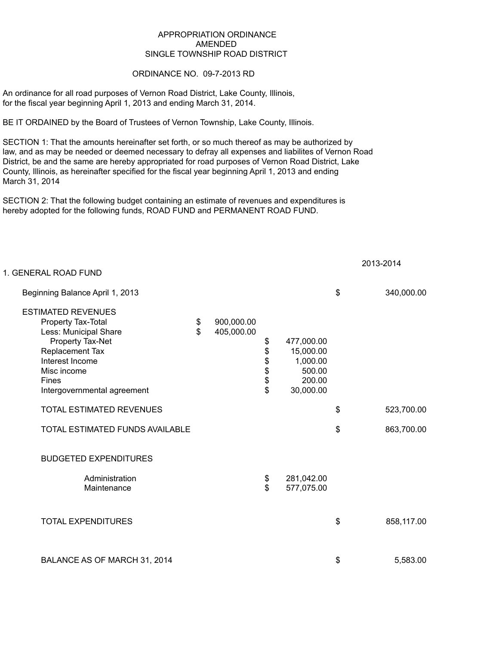## APPROPRIATION ORDINANCE AMENDED SINGLE TOWNSHIP ROAD DISTRICT

## ORDINANCE NO. 09-7-2013 RD

An ordinance for all road purposes of Vernon Road District, Lake County, Illinois, for the fiscal year beginning April 1, 2013 and ending March 31, 2014.

BE IT ORDAINED by the Board of Trustees of Vernon Township, Lake County, Illinois.

SECTION 1: That the amounts hereinafter set forth, or so much thereof as may be authorized by law, and as may be needed or deemed necessary to defray all expenses and liabilites of Vernon Road District, be and the same are hereby appropriated for road purposes of Vernon Road District, Lake County, Illinois, as hereinafter specified for the fiscal year beginning April 1, 2013 and ending March 31, 2014

SECTION 2: That the following budget containing an estimate of revenues and expenditures is hereby adopted for the following funds, ROAD FUND and PERMANENT ROAD FUND.

| 1. GENERAL ROAD FUND                                                                                                                                                                      |                    |                          |                      |                                                                      | 2013-201 <del>4</del> |
|-------------------------------------------------------------------------------------------------------------------------------------------------------------------------------------------|--------------------|--------------------------|----------------------|----------------------------------------------------------------------|-----------------------|
| Beginning Balance April 1, 2013                                                                                                                                                           |                    |                          |                      |                                                                      | \$<br>340,000.00      |
| <b>ESTIMATED REVENUES</b><br>Property Tax-Total<br>Less: Municipal Share<br>Property Tax-Net<br>Replacement Tax<br>Interest Income<br>Misc income<br>Fines<br>Intergovernmental agreement | \$<br>$\mathbb{S}$ | 900,000.00<br>405,000.00 | \$<br>\$<br>\$\$\$\$ | 477,000.00<br>15,000.00<br>1,000.00<br>500.00<br>200.00<br>30,000.00 |                       |
| <b>TOTAL ESTIMATED REVENUES</b>                                                                                                                                                           |                    |                          |                      |                                                                      | \$<br>523,700.00      |
| TOTAL ESTIMATED FUNDS AVAILABLE                                                                                                                                                           |                    |                          |                      |                                                                      | \$<br>863,700.00      |
| <b>BUDGETED EXPENDITURES</b>                                                                                                                                                              |                    |                          |                      |                                                                      |                       |
| Administration<br>Maintenance                                                                                                                                                             |                    |                          | \$<br>\$             | 281,042.00<br>577,075.00                                             |                       |
| <b>TOTAL EXPENDITURES</b>                                                                                                                                                                 |                    |                          |                      |                                                                      | \$<br>858,117.00      |
| BALANCE AS OF MARCH 31, 2014                                                                                                                                                              |                    |                          |                      |                                                                      | \$<br>5,583.00        |

2013-2014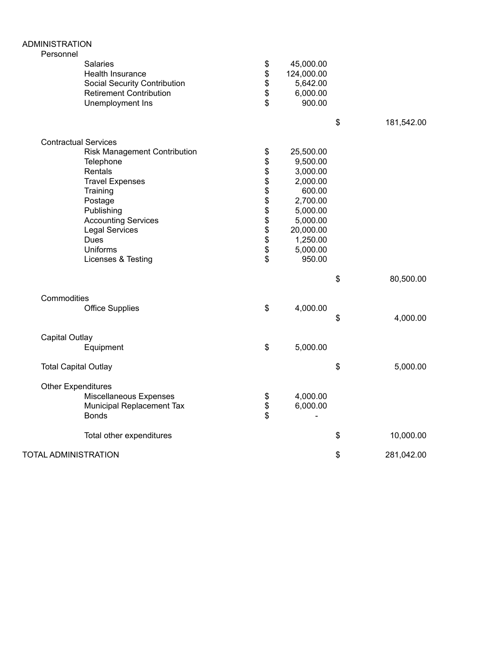| <b>ADMINISTRATION</b><br>Personnel                                                                                                                                                                                                                                |                                                                      |                                                                                                                                            |                  |
|-------------------------------------------------------------------------------------------------------------------------------------------------------------------------------------------------------------------------------------------------------------------|----------------------------------------------------------------------|--------------------------------------------------------------------------------------------------------------------------------------------|------------------|
| Salaries<br>Health Insurance<br><b>Social Security Contribution</b><br><b>Retirement Contribution</b><br>Unemployment Ins                                                                                                                                         | \$<br>\$<br>\$<br>\$<br>\$                                           | 45,000.00<br>124,000.00<br>5,642.00<br>6,000.00<br>900.00                                                                                  |                  |
|                                                                                                                                                                                                                                                                   |                                                                      |                                                                                                                                            | \$<br>181,542.00 |
| <b>Contractual Services</b><br><b>Risk Management Contribution</b><br>Telephone<br>Rentals<br><b>Travel Expenses</b><br>Training<br>Postage<br>Publishing<br><b>Accounting Services</b><br><b>Legal Services</b><br><b>Dues</b><br>Uniforms<br>Licenses & Testing | \$<br>\$<br>\$<br>\$<br>\$<br>\$<br>\$<br>\$<br>\$<br>\$<br>\$<br>\$ | 25,500.00<br>9,500.00<br>3,000.00<br>2,000.00<br>600.00<br>2,700.00<br>5,000.00<br>5,000.00<br>20,000.00<br>1,250.00<br>5,000.00<br>950.00 |                  |
|                                                                                                                                                                                                                                                                   |                                                                      |                                                                                                                                            | \$<br>80,500.00  |
| Commodities<br><b>Office Supplies</b>                                                                                                                                                                                                                             | \$                                                                   | 4,000.00                                                                                                                                   | \$<br>4,000.00   |
| Capital Outlay<br>Equipment                                                                                                                                                                                                                                       | \$                                                                   | 5,000.00                                                                                                                                   |                  |
| <b>Total Capital Outlay</b>                                                                                                                                                                                                                                       |                                                                      |                                                                                                                                            | \$<br>5,000.00   |
| <b>Other Expenditures</b><br>Miscellaneous Expenses<br>Municipal Replacement Tax<br><b>Bonds</b>                                                                                                                                                                  | \$<br>\$<br>\$                                                       | 4,000.00<br>6,000.00                                                                                                                       |                  |
| Total other expenditures                                                                                                                                                                                                                                          |                                                                      |                                                                                                                                            | \$<br>10,000.00  |
| TOTAL ADMINISTRATION                                                                                                                                                                                                                                              |                                                                      |                                                                                                                                            | \$<br>281,042.00 |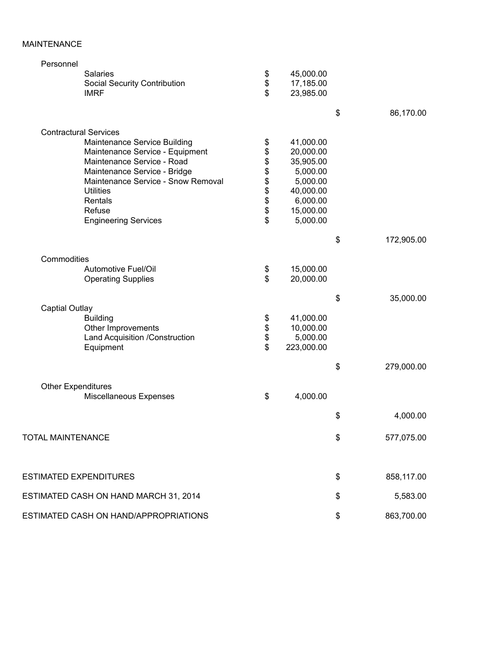## MAINTENANCE

| Personnel                                           |                  |                  |
|-----------------------------------------------------|------------------|------------------|
| Salaries                                            | \$<br>45,000.00  |                  |
| <b>Social Security Contribution</b>                 | \$<br>17,185.00  |                  |
| <b>IMRF</b>                                         | \$<br>23,985.00  |                  |
|                                                     |                  | \$<br>86,170.00  |
| <b>Contractural Services</b>                        |                  |                  |
| Maintenance Service Building                        | \$<br>41,000.00  |                  |
| Maintenance Service - Equipment                     | \$<br>20,000.00  |                  |
| Maintenance Service - Road                          | \$<br>35,905.00  |                  |
| Maintenance Service - Bridge                        | \$<br>5,000.00   |                  |
| Maintenance Service - Snow Removal                  | \$<br>5,000.00   |                  |
| <b>Utilities</b>                                    | \$<br>40,000.00  |                  |
| Rentals                                             | \$<br>6,000.00   |                  |
| Refuse                                              | \$<br>15,000.00  |                  |
| <b>Engineering Services</b>                         | \$<br>5,000.00   |                  |
|                                                     |                  |                  |
|                                                     |                  | \$<br>172,905.00 |
| Commodities                                         |                  |                  |
| Automotive Fuel/Oil                                 | \$<br>15,000.00  |                  |
| <b>Operating Supplies</b>                           | \$<br>20,000.00  |                  |
|                                                     |                  | \$<br>35,000.00  |
| <b>Captial Outlay</b>                               |                  |                  |
| <b>Building</b>                                     | \$<br>41,000.00  |                  |
| Other Improvements                                  | \$<br>10,000.00  |                  |
| Land Acquisition /Construction                      | \$<br>5,000.00   |                  |
| Equipment                                           | \$<br>223,000.00 |                  |
|                                                     |                  | \$<br>279,000.00 |
|                                                     |                  |                  |
| <b>Other Expenditures</b><br>Miscellaneous Expenses | \$<br>4,000.00   |                  |
|                                                     |                  |                  |
|                                                     |                  | \$<br>4,000.00   |
| <b>TOTAL MAINTENANCE</b>                            |                  | \$<br>577,075.00 |
|                                                     |                  |                  |
| <b>ESTIMATED EXPENDITURES</b>                       |                  | \$<br>858,117.00 |
| ESTIMATED CASH ON HAND MARCH 31, 2014               |                  | \$<br>5,583.00   |
|                                                     |                  |                  |
| ESTIMATED CASH ON HAND/APPROPRIATIONS               |                  | \$<br>863,700.00 |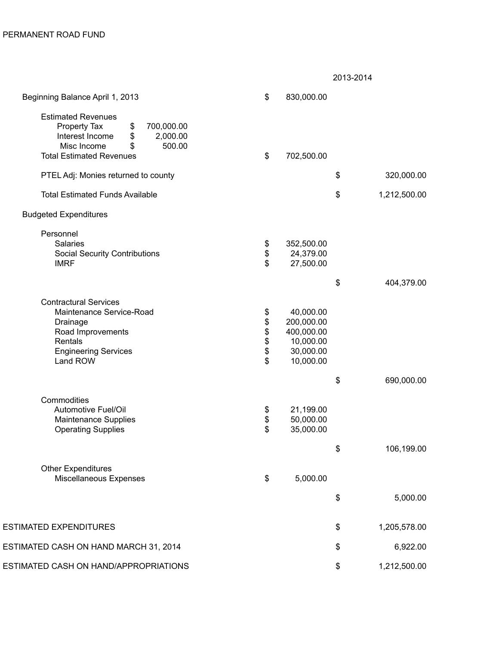2013-2014

| Beginning Balance April 1, 2013                                                                                                                                      | \$                  | 830,000.00                                                                   |                    |
|----------------------------------------------------------------------------------------------------------------------------------------------------------------------|---------------------|------------------------------------------------------------------------------|--------------------|
| <b>Estimated Revenues</b><br>700,000.00<br>Property Tax<br>\$<br>2,000.00<br>Interest Income<br>\$<br>500.00<br>Misc Income<br>\$<br><b>Total Estimated Revenues</b> | \$                  | 702,500.00                                                                   |                    |
| PTEL Adj: Monies returned to county                                                                                                                                  |                     |                                                                              | \$<br>320,000.00   |
| <b>Total Estimated Funds Available</b>                                                                                                                               |                     |                                                                              | \$<br>1,212,500.00 |
| <b>Budgeted Expenditures</b>                                                                                                                                         |                     |                                                                              |                    |
| Personnel<br>Salaries<br><b>Social Security Contributions</b><br><b>IMRF</b>                                                                                         | \$<br>$\frac{1}{3}$ | 352,500.00<br>24,379.00<br>27,500.00                                         |                    |
|                                                                                                                                                                      |                     |                                                                              | \$<br>404,379.00   |
| <b>Contractural Services</b><br>Maintenance Service-Road<br>Drainage<br>Road Improvements<br>Rentals<br><b>Engineering Services</b><br>Land ROW                      | \$<br><b>88888</b>  | 40,000.00<br>200,000.00<br>400,000.00<br>10,000.00<br>30,000.00<br>10,000.00 |                    |
|                                                                                                                                                                      |                     |                                                                              | \$<br>690,000.00   |
| Commodities<br>Automotive Fuel/Oil<br><b>Maintenance Supplies</b><br><b>Operating Supplies</b>                                                                       | \$<br>\$<br>\$      | 21,199.00<br>50,000.00<br>35,000.00                                          |                    |
|                                                                                                                                                                      |                     |                                                                              | \$<br>106,199.00   |
| <b>Other Expenditures</b><br>Miscellaneous Expenses                                                                                                                  | \$                  | 5,000.00                                                                     |                    |
|                                                                                                                                                                      |                     |                                                                              | \$<br>5,000.00     |
| <b>ESTIMATED EXPENDITURES</b>                                                                                                                                        |                     |                                                                              | \$<br>1,205,578.00 |
| ESTIMATED CASH ON HAND MARCH 31, 2014                                                                                                                                |                     |                                                                              | \$<br>6,922.00     |
| ESTIMATED CASH ON HAND/APPROPRIATIONS                                                                                                                                |                     |                                                                              | \$<br>1,212,500.00 |